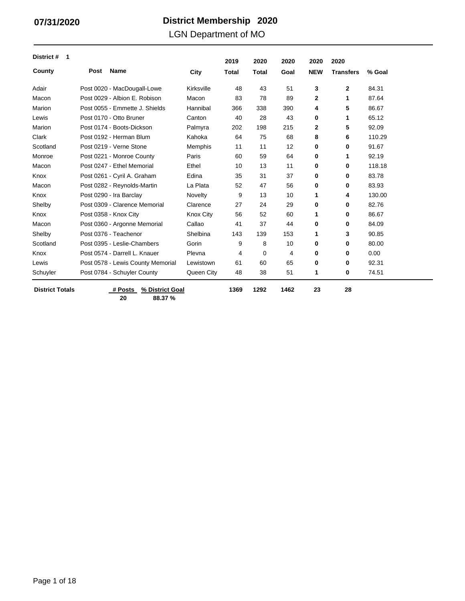### LGN Department of MO

| District #<br>$\mathbf 1$ |      |                                   |                  | 2019         | 2020         | 2020 | 2020         | 2020             |        |
|---------------------------|------|-----------------------------------|------------------|--------------|--------------|------|--------------|------------------|--------|
| County                    | Post | <b>Name</b>                       | City             | <b>Total</b> | <b>Total</b> | Goal | <b>NEW</b>   | <b>Transfers</b> | % Goal |
| Adair                     |      | Post 0020 - MacDougall-Lowe       | Kirksville       | 48           | 43           | 51   | 3            | $\mathbf{2}$     | 84.31  |
| Macon                     |      | Post 0029 - Albion E. Robison     | Macon            | 83           | 78           | 89   | $\mathbf{2}$ | 1                | 87.64  |
| Marion                    |      | Post 0055 - Emmette J. Shields    | Hannibal         | 366          | 338          | 390  | 4            | 5                | 86.67  |
| Lewis                     |      | Post 0170 - Otto Bruner           | Canton           | 40           | 28           | 43   | 0            | 1                | 65.12  |
| Marion                    |      | Post 0174 - Boots-Dickson         | Palmyra          | 202          | 198          | 215  | $\mathbf{2}$ | 5                | 92.09  |
| Clark                     |      | Post 0192 - Herman Blum           | Kahoka           | 64           | 75           | 68   | 8            | 6                | 110.29 |
| Scotland                  |      | Post 0219 - Verne Stone           | Memphis          | 11           | 11           | 12   | 0            | 0                | 91.67  |
| Monroe                    |      | Post 0221 - Monroe County         | Paris            | 60           | 59           | 64   | 0            | 1                | 92.19  |
| Macon                     |      | Post 0247 - Ethel Memorial        | Ethel            | 10           | 13           | 11   | 0            | 0                | 118.18 |
| Knox                      |      | Post 0261 - Cyril A. Graham       | Edina            | 35           | 31           | 37   | 0            | 0                | 83.78  |
| Macon                     |      | Post 0282 - Reynolds-Martin       | La Plata         | 52           | 47           | 56   | 0            | 0                | 83.93  |
| Knox                      |      | Post 0290 - Ira Barclay           | Novelty          | 9            | 13           | 10   | 1            | 4                | 130.00 |
| Shelby                    |      | Post 0309 - Clarence Memorial     | Clarence         | 27           | 24           | 29   | 0            | 0                | 82.76  |
| Knox                      |      | Post 0358 - Knox City             | <b>Knox City</b> | 56           | 52           | 60   | 1            | 0                | 86.67  |
| Macon                     |      | Post 0360 - Argonne Memorial      | Callao           | 41           | 37           | 44   | 0            | 0                | 84.09  |
| Shelby                    |      | Post 0376 - Teachenor             | Shelbina         | 143          | 139          | 153  | 1            | 3                | 90.85  |
| Scotland                  |      | Post 0395 - Leslie-Chambers       | Gorin            | 9            | 8            | 10   | 0            | 0                | 80.00  |
| Knox                      |      | Post 0574 - Darrell L. Knauer     | Plevna           | 4            | 0            | 4    | 0            | 0                | 0.00   |
| Lewis                     |      | Post 0578 - Lewis County Memorial | Lewistown        | 61           | 60           | 65   | 0            | 0                | 92.31  |
| Schuyler                  |      | Post 0784 - Schuyler County       | Queen City       | 48           | 38           | 51   | 1            | 0                | 74.51  |
| <b>District Totals</b>    |      | % District Goal<br># Posts        |                  | 1369         | 1292         | 1462 | 23           | 28               |        |

**20 88.37 %**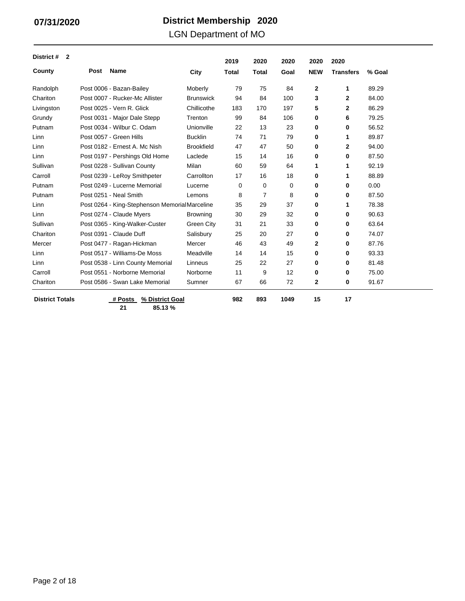### LGN Department of MO

| District #<br>$\overline{2}$ |      |                                               |                   | 2019         | 2020         | 2020 | 2020       | 2020             |        |
|------------------------------|------|-----------------------------------------------|-------------------|--------------|--------------|------|------------|------------------|--------|
| County                       | Post | <b>Name</b>                                   | City              | <b>Total</b> | <b>Total</b> | Goal | <b>NEW</b> | <b>Transfers</b> | % Goal |
| Randolph                     |      | Post 0006 - Bazan-Bailey                      | Moberly           | 79           | 75           | 84   | 2          | 1                | 89.29  |
| Chariton                     |      | Post 0007 - Rucker-Mc Allister                | <b>Brunswick</b>  | 94           | 84           | 100  | 3          | $\mathbf 2$      | 84.00  |
| Livingston                   |      | Post 0025 - Vern R. Glick                     | Chillicothe       | 183          | 170          | 197  | 5          | $\mathbf{2}$     | 86.29  |
| Grundy                       |      | Post 0031 - Major Dale Stepp                  | Trenton           | 99           | 84           | 106  | 0          | 6                | 79.25  |
| Putnam                       |      | Post 0034 - Wilbur C. Odam                    | Unionville        | 22           | 13           | 23   | 0          | 0                | 56.52  |
| Linn                         |      | Post 0057 - Green Hills                       | <b>Bucklin</b>    | 74           | 71           | 79   | $\bf{0}$   | 1                | 89.87  |
| Linn                         |      | Post 0182 - Ernest A. Mc Nish                 | <b>Brookfield</b> | 47           | 47           | 50   | 0          | 2                | 94.00  |
| Linn                         |      | Post 0197 - Pershings Old Home                | Laclede           | 15           | 14           | 16   | 0          | 0                | 87.50  |
| Sullivan                     |      | Post 0228 - Sullivan County                   | Milan             | 60           | 59           | 64   | 1          | 1                | 92.19  |
| Carroll                      |      | Post 0239 - LeRoy Smithpeter                  | Carrollton        | 17           | 16           | 18   | 0          | 1                | 88.89  |
| Putnam                       |      | Post 0249 - Lucerne Memorial                  | Lucerne           | 0            | 0            | 0    | 0          | 0                | 0.00   |
| Putnam                       |      | Post 0251 - Neal Smith                        | Lemons            | 8            | 7            | 8    | 0          | 0                | 87.50  |
| Linn                         |      | Post 0264 - King-Stephenson MemorialMarceline |                   | 35           | 29           | 37   | 0          | 1                | 78.38  |
| Linn                         |      | Post 0274 - Claude Myers                      | <b>Browning</b>   | 30           | 29           | 32   | 0          | 0                | 90.63  |
| Sullivan                     |      | Post 0365 - King-Walker-Custer                | Green City        | 31           | 21           | 33   | $\bf{0}$   | 0                | 63.64  |
| Chariton                     |      | Post 0391 - Claude Duff                       | Salisbury         | 25           | 20           | 27   | 0          | 0                | 74.07  |
| Mercer                       |      | Post 0477 - Ragan-Hickman                     | Mercer            | 46           | 43           | 49   | 2          | 0                | 87.76  |
| Linn                         |      | Post 0517 - Williams-De Moss                  | Meadville         | 14           | 14           | 15   | 0          | 0                | 93.33  |
| Linn                         |      | Post 0538 - Linn County Memorial              | Linneus           | 25           | 22           | 27   | 0          | 0                | 81.48  |
| Carroll                      |      | Post 0551 - Norborne Memorial                 | Norborne          | 11           | 9            | 12   | $\bf{0}$   | 0                | 75.00  |
| Chariton                     |      | Post 0586 - Swan Lake Memorial                | Sumner            | 67           | 66           | 72   | 2          | 0                | 91.67  |
| <b>District Totals</b>       |      | # Posts<br>% District Goal                    |                   | 982          | 893          | 1049 | 15         | 17               |        |

**21 85.13 %**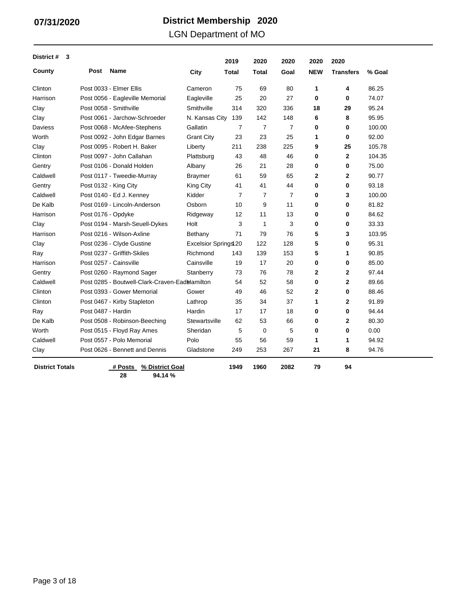### LGN Department of MO

| District #<br>3        |                    |                                                |                      | 2019           | 2020           | 2020           | 2020         | 2020             |        |
|------------------------|--------------------|------------------------------------------------|----------------------|----------------|----------------|----------------|--------------|------------------|--------|
| County                 | Post               | Name                                           | City                 | Total          | Total          | Goal           | <b>NEW</b>   | <b>Transfers</b> | % Goal |
| Clinton                |                    | Post 0033 - Elmer Ellis                        | Cameron              | 75             | 69             | 80             | 1            | 4                | 86.25  |
| Harrison               |                    | Post 0056 - Eagleville Memorial                | Eagleville           | 25             | 20             | 27             | 0            | $\mathbf 0$      | 74.07  |
| Clay                   |                    | Post 0058 - Smithville                         | Smithville           | 314            | 320            | 336            | 18           | 29               | 95.24  |
| Clay                   |                    | Post 0061 - Jarchow-Schroeder                  | N. Kansas City       | 139            | 142            | 148            | 6            | 8                | 95.95  |
| <b>Daviess</b>         |                    | Post 0068 - McAfee-Stephens                    | Gallatin             | $\overline{7}$ | $\overline{7}$ | $\overline{7}$ | 0            | $\bf{0}$         | 100.00 |
| Worth                  |                    | Post 0092 - John Edgar Barnes                  | <b>Grant City</b>    | 23             | 23             | 25             | 1            | 0                | 92.00  |
| Clay                   |                    | Post 0095 - Robert H. Baker                    | Liberty              | 211            | 238            | 225            | 9            | 25               | 105.78 |
| Clinton                |                    | Post 0097 - John Callahan                      | Plattsburg           | 43             | 48             | 46             | 0            | $\mathbf{2}$     | 104.35 |
| Gentry                 |                    | Post 0106 - Donald Holden                      | Albany               | 26             | 21             | 28             | 0            | 0                | 75.00  |
| Caldwell               |                    | Post 0117 - Tweedie-Murray                     | <b>Braymer</b>       | 61             | 59             | 65             | $\mathbf{2}$ | $\mathbf{2}$     | 90.77  |
| Gentry                 |                    | Post 0132 - King City                          | King City            | 41             | 41             | 44             | 0            | 0                | 93.18  |
| Caldwell               |                    | Post 0140 - Ed J. Kenney                       | Kidder               | $\overline{7}$ | 7              | $\overline{7}$ | 0            | 3                | 100.00 |
| De Kalb                |                    | Post 0169 - Lincoln-Anderson                   | Osborn               | 10             | 9              | 11             | 0            | 0                | 81.82  |
| Harrison               | Post 0176 - Opdyke |                                                | Ridgeway             | 12             | 11             | 13             | 0            | 0                | 84.62  |
| Clay                   |                    | Post 0194 - Marsh-Seuell-Dykes                 | Holt                 | 3              | $\mathbf{1}$   | 3              | 0            | $\bf{0}$         | 33.33  |
| Harrison               |                    | Post 0216 - Wilson-Axline                      | Bethany              | 71             | 79             | 76             | 5            | 3                | 103.95 |
| Clay                   |                    | Post 0236 - Clyde Gustine                      | Excelsior Springs 20 |                | 122            | 128            | 5            | 0                | 95.31  |
| Ray                    |                    | Post 0237 - Griffith-Skiles                    | Richmond             | 143            | 139            | 153            | 5            | 1                | 90.85  |
| Harrison               |                    | Post 0257 - Cainsville                         | Cainsville           | 19             | 17             | 20             | $\bf{0}$     | $\bf{0}$         | 85.00  |
| Gentry                 |                    | Post 0260 - Raymond Sager                      | Stanberry            | 73             | 76             | 78             | $\mathbf{2}$ | $\mathbf{2}$     | 97.44  |
| Caldwell               |                    | Post 0285 - Boutwell-Clark-Craven-Eadblamilton |                      | 54             | 52             | 58             | 0            | $\mathbf{2}$     | 89.66  |
| Clinton                |                    | Post 0393 - Gower Memorial                     | Gower                | 49             | 46             | 52             | 2            | 0                | 88.46  |
| Clinton                |                    | Post 0467 - Kirby Stapleton                    | Lathrop              | 35             | 34             | 37             | 1            | $\mathbf{2}$     | 91.89  |
| Ray                    | Post 0487 - Hardin |                                                | Hardin               | 17             | 17             | 18             | 0            | $\bf{0}$         | 94.44  |
| De Kalb                |                    | Post 0508 - Robinson-Beeching                  | Stewartsville        | 62             | 53             | 66             | 0            | $\mathbf{2}$     | 80.30  |
| Worth                  |                    | Post 0515 - Floyd Ray Ames                     | Sheridan             | 5              | $\mathbf 0$    | 5              | 0            | 0                | 0.00   |
| Caldwell               |                    | Post 0557 - Polo Memorial                      | Polo                 | 55             | 56             | 59             | 1            | 1                | 94.92  |
| Clay                   |                    | Post 0626 - Bennett and Dennis                 | Gladstone            | 249            | 253            | 267            | 21           | 8                | 94.76  |
| <b>District Totals</b> |                    | % District Goal<br># Posts                     |                      | 1949           | 1960           | 2082           | 79           | 94               |        |

**28 94.14 %**

Page 3 of 18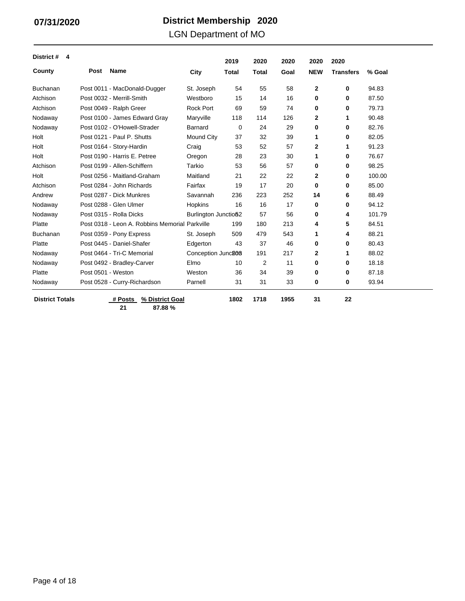### LGN Department of MO

| District #<br>4        |                    |                                                |                      | 2019         | 2020           | 2020 | 2020         | 2020             |        |
|------------------------|--------------------|------------------------------------------------|----------------------|--------------|----------------|------|--------------|------------------|--------|
| County                 | Post               | <b>Name</b>                                    | City                 | <b>Total</b> | <b>Total</b>   | Goal | <b>NEW</b>   | <b>Transfers</b> | % Goal |
| <b>Buchanan</b>        |                    | Post 0011 - MacDonald-Dugger                   | St. Joseph           | 54           | 55             | 58   | $\mathbf{2}$ | 0                | 94.83  |
| Atchison               |                    | Post 0032 - Merrill-Smith                      | Westboro             | 15           | 14             | 16   | 0            | 0                | 87.50  |
| Atchison               |                    | Post 0049 - Ralph Greer                        | <b>Rock Port</b>     | 69           | 59             | 74   | 0            | 0                | 79.73  |
| Nodaway                |                    | Post 0100 - James Edward Gray                  | Maryville            | 118          | 114            | 126  | 2            | 1                | 90.48  |
| Nodaway                |                    | Post 0102 - O'Howell-Strader                   | Barnard              | 0            | 24             | 29   | 0            | 0                | 82.76  |
| Holt                   |                    | Post 0121 - Paul P. Shutts                     | Mound City           | 37           | 32             | 39   | 1            | 0                | 82.05  |
| Holt                   |                    | Post 0164 - Story-Hardin                       | Craig                | 53           | 52             | 57   | 2            | 1                | 91.23  |
| Holt                   |                    | Post 0190 - Harris E. Petree                   | Oregon               | 28           | 23             | 30   | 1            | 0                | 76.67  |
| Atchison               |                    | Post 0199 - Allen-Schiffern                    | Tarkio               | 53           | 56             | 57   | 0            | 0                | 98.25  |
| Holt                   |                    | Post 0256 - Maitland-Graham                    | Maitland             | 21           | 22             | 22   | 2            | 0                | 100.00 |
| Atchison               |                    | Post 0284 - John Richards                      | Fairfax              | 19           | 17             | 20   | 0            | 0                | 85.00  |
| Andrew                 |                    | Post 0287 - Dick Munkres                       | Savannah             | 236          | 223            | 252  | 14           | 6                | 88.49  |
| Nodaway                |                    | Post 0288 - Glen Ulmer                         | Hopkins              | 16           | 16             | 17   | $\bf{0}$     | 0                | 94.12  |
| Nodaway                |                    | Post 0315 - Rolla Dicks                        | Burlington Junctio52 |              | 57             | 56   | 0            | 4                | 101.79 |
| Platte                 |                    | Post 0318 - Leon A. Robbins Memorial Parkville |                      | 199          | 180            | 213  | 4            | 5                | 84.51  |
| <b>Buchanan</b>        |                    | Post 0359 - Pony Express                       | St. Joseph           | 509          | 479            | 543  | 1            | 4                | 88.21  |
| Platte                 |                    | Post 0445 - Daniel-Shafer                      | Edgerton             | 43           | 37             | 46   | 0            | 0                | 80.43  |
| Nodaway                |                    | Post 0464 - Tri-C Memorial                     | Conception Junc206   |              | 191            | 217  | 2            | 1                | 88.02  |
| Nodaway                |                    | Post 0492 - Bradley-Carver                     | Elmo                 | 10           | $\overline{2}$ | 11   | 0            | 0                | 18.18  |
| Platte                 | Post 0501 - Weston |                                                | Weston               | 36           | 34             | 39   | $\bf{0}$     | 0                | 87.18  |
| Nodaway                |                    | Post 0528 - Curry-Richardson                   | Parnell              | 31           | 31             | 33   | 0            | 0                | 93.94  |
| <b>District Totals</b> |                    | # Posts<br>% District Goal                     |                      | 1802         | 1718           | 1955 | 31           | 22               |        |

**21 87.88 %**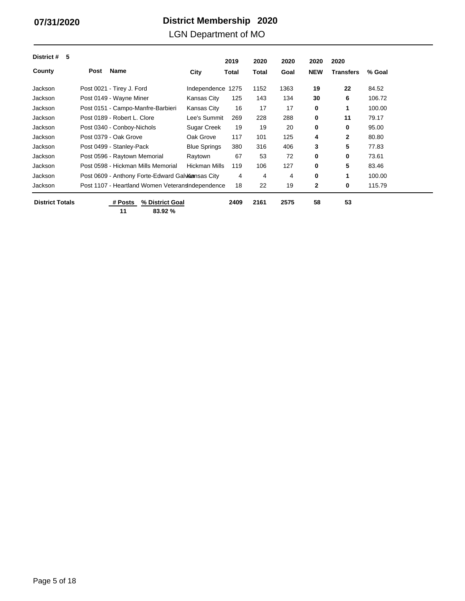### LGN Department of MO

| 5<br>District #        |                                                  |                      | 2019         | 2020  | 2020 | 2020       | 2020             |        |
|------------------------|--------------------------------------------------|----------------------|--------------|-------|------|------------|------------------|--------|
| County                 | <b>Name</b><br><b>Post</b>                       | City                 | <b>Total</b> | Total | Goal | <b>NEW</b> | <b>Transfers</b> | % Goal |
| Jackson                | Post 0021 - Tirey J. Ford                        | Independence         | 1275         | 1152  | 1363 | 19         | 22               | 84.52  |
| Jackson                | Post 0149 - Wayne Miner                          | Kansas City          | 125          | 143   | 134  | 30         | 6                | 106.72 |
| Jackson                | Post 0151 - Campo-Manfre-Barbieri                | Kansas City          | 16           | 17    | 17   | 0          | 1                | 100.00 |
| Jackson                | Post 0189 - Robert L. Clore                      | Lee's Summit         | 269          | 228   | 288  | 0          | 11               | 79.17  |
| Jackson                | Post 0340 - Conboy-Nichols                       | Sugar Creek          | 19           | 19    | 20   | 0          | 0                | 95.00  |
| Jackson                | Post 0379 - Oak Grove                            | Oak Grove            | 117          | 101   | 125  | 4          | $\mathbf{2}$     | 80.80  |
| Jackson                | Post 0499 - Stanley-Pack                         | <b>Blue Springs</b>  | 380          | 316   | 406  | 3          | 5                | 77.83  |
| Jackson                | Post 0596 - Raytown Memorial                     | Raytown              | 67           | 53    | 72   | 0          | 0                | 73.61  |
| Jackson                | Post 0598 - Hickman Mills Memorial               | <b>Hickman Mills</b> | 119          | 106   | 127  | 0          | 5                | 83.46  |
| Jackson                | Post 0609 - Anthony Forte-Edward Galvannsas City |                      | 4            | 4     | 4    | 0          | 1                | 100.00 |
| Jackson                | Post 1107 - Heartland Women Veterans ndependence |                      | 18           | 22    | 19   | 2          | 0                | 115.79 |
| <b>District Totals</b> | # Posts<br>% District Goal                       |                      | 2409         | 2161  | 2575 | 58         | 53               |        |

**11 83.92 %**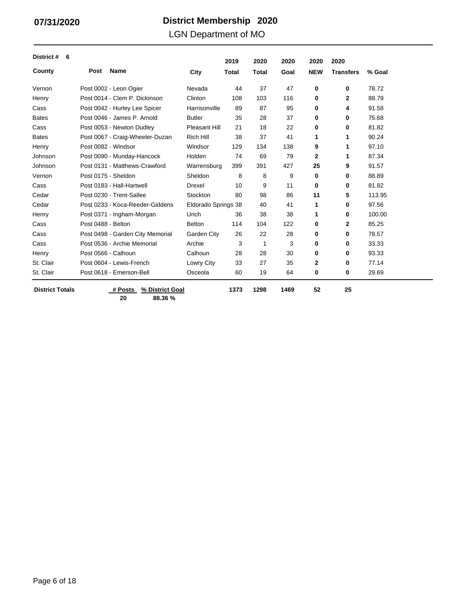### LGN Department of MO

| District #<br>6        |                     |                                  |                      | 2019         | 2020         | 2020 | 2020       | 2020             |        |
|------------------------|---------------------|----------------------------------|----------------------|--------------|--------------|------|------------|------------------|--------|
| County                 | Post                | <b>Name</b>                      | City                 | <b>Total</b> | <b>Total</b> | Goal | <b>NEW</b> | <b>Transfers</b> | % Goal |
| Vernon                 |                     | Post 0002 - Leon Ogier           | Nevada               | 44           | 37           | 47   | 0          | 0                | 78.72  |
| Henry                  |                     | Post 0014 - Clem P. Dickinson    | Clinton              | 108          | 103          | 116  | 0          | 2                | 88.79  |
| Cass                   |                     | Post 0042 - Hurley Lee Spicer    | Harrisonville        | 89           | 87           | 95   | 0          | 4                | 91.58  |
| <b>Bates</b>           |                     | Post 0046 - James P. Arnold      | <b>Butler</b>        | 35           | 28           | 37   | 0          | 0                | 75.68  |
| Cass                   |                     | Post 0053 - Newton Dudley        | <b>Pleasant Hill</b> | 21           | 18           | 22   | 0          | 0                | 81.82  |
| <b>Bates</b>           |                     | Post 0067 - Craig-Wheeler-Duzan  | <b>Rich Hill</b>     | 38           | 37           | 41   | 1          | 1                | 90.24  |
| Henry                  |                     | Post 0082 - Windsor              | Windsor              | 129          | 134          | 138  | 9          | 1                | 97.10  |
| Johnson                |                     | Post 0090 - Munday-Hancock       | Holden               | 74           | 69           | 79   | 2          | 1                | 87.34  |
| Johnson                |                     | Post 0131 - Matthews-Crawford    | Warrensburg          | 399          | 391          | 427  | 25         | 9                | 91.57  |
| Vernon                 | Post 0175 - Sheldon |                                  | Sheldon              | 8            | 8            | 9    | 0          | 0                | 88.89  |
| Cass                   |                     | Post 0183 - Hall-Hartwell        | <b>Drexel</b>        | 10           | 9            | 11   | 0          | 0                | 81.82  |
| Cedar                  |                     | Post 0230 - Trent-Sallee         | Stockton             | 80           | 98           | 86   | 11         | 5                | 113.95 |
| Cedar                  |                     | Post 0233 - Koca-Reeder-Giddens  | Eldorado Springs 38  |              | 40           | 41   | 1          | 0                | 97.56  |
| Henry                  |                     | Post 0371 - Ingham-Morgan        | Urich                | 36           | 38           | 38   | 1          | 0                | 100.00 |
| Cass                   | Post 0488 - Belton  |                                  | <b>Belton</b>        | 114          | 104          | 122  | 0          | $\mathbf{2}$     | 85.25  |
| Cass                   |                     | Post 0498 - Garden City Memorial | Garden City          | 26           | 22           | 28   | 0          | 0                | 78.57  |
| Cass                   |                     | Post 0536 - Archie Memorial      | Archie               | 3            | 1            | 3    | 0          | 0                | 33.33  |
| Henry                  |                     | Post 0566 - Calhoun              | Calhoun              | 28           | 28           | 30   | 0          | 0                | 93.33  |
| St. Clair              |                     | Post 0604 - Lewis-French         | Lowry City           | 33           | 27           | 35   | 2          | 0                | 77.14  |
| St. Clair              |                     | Post 0618 - Emerson-Bell         | Osceola              | 60           | 19           | 64   | 0          | 0                | 29.69  |
| <b>District Totals</b> |                     | # Posts<br>% District Goal       |                      | 1373         | 1298         | 1469 | 52         | 25               |        |

**20 88.36 %**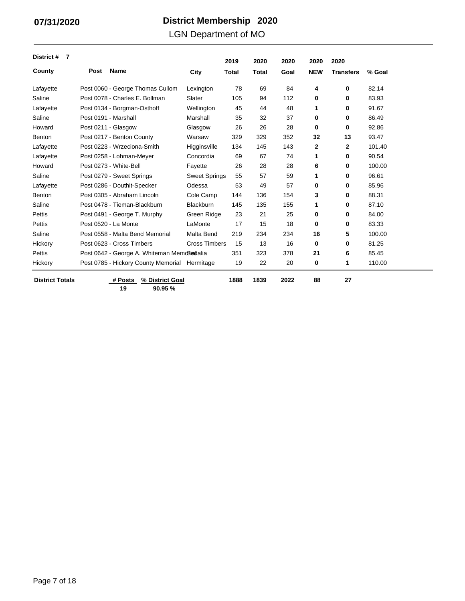### LGN Department of MO

| District #<br>7        |      |                                               |                      | 2019         | 2020         | 2020 | 2020         | 2020             |        |
|------------------------|------|-----------------------------------------------|----------------------|--------------|--------------|------|--------------|------------------|--------|
| County                 | Post | <b>Name</b>                                   | City                 | <b>Total</b> | <b>Total</b> | Goal | <b>NEW</b>   | <b>Transfers</b> | % Goal |
| Lafayette              |      | Post 0060 - George Thomas Cullom              | Lexington            | 78           | 69           | 84   | 4            | 0                | 82.14  |
| Saline                 |      | Post 0078 - Charles E. Bollman                | Slater               | 105          | 94           | 112  | 0            | 0                | 83.93  |
| Lafayette              |      | Post 0134 - Borgman-Osthoff                   | Wellington           | 45           | 44           | 48   | 1            | 0                | 91.67  |
| Saline                 |      | Post 0191 - Marshall                          | Marshall             | 35           | 32           | 37   | 0            | 0                | 86.49  |
| Howard                 |      | Post 0211 - Glasgow                           | Glasgow              | 26           | 26           | 28   | $\bf{0}$     | 0                | 92.86  |
| Benton                 |      | Post 0217 - Benton County                     | Warsaw               | 329          | 329          | 352  | 32           | 13               | 93.47  |
| Lafayette              |      | Post 0223 - Wrzeciona-Smith                   | Higginsville         | 134          | 145          | 143  | $\mathbf{2}$ | 2                | 101.40 |
| Lafayette              |      | Post 0258 - Lohman-Meyer                      | Concordia            | 69           | 67           | 74   | 1            | 0                | 90.54  |
| Howard                 |      | Post 0273 - White-Bell                        | Fayette              | 26           | 28           | 28   | 6            | 0                | 100.00 |
| Saline                 |      | Post 0279 - Sweet Springs                     | <b>Sweet Springs</b> | 55           | 57           | 59   | 1            | 0                | 96.61  |
| Lafayette              |      | Post 0286 - Douthit-Specker                   | Odessa               | 53           | 49           | 57   | 0            | 0                | 85.96  |
| Benton                 |      | Post 0305 - Abraham Lincoln                   | Cole Camp            | 144          | 136          | 154  | 3            | 0                | 88.31  |
| Saline                 |      | Post 0478 - Tieman-Blackburn                  | <b>Blackburn</b>     | 145          | 135          | 155  | 1            | 0                | 87.10  |
| Pettis                 |      | Post 0491 - George T. Murphy                  | Green Ridge          | 23           | 21           | 25   | $\bf{0}$     | 0                | 84.00  |
| Pettis                 |      | Post 0520 - La Monte                          | LaMonte              | 17           | 15           | 18   | 0            | 0                | 83.33  |
| Saline                 |      | Post 0558 - Malta Bend Memorial               | Malta Bend           | 219          | 234          | 234  | 16           | 5                | 100.00 |
| Hickory                |      | Post 0623 - Cross Timbers                     | <b>Cross Timbers</b> | 15           | 13           | 16   | 0            | 0                | 81.25  |
| Pettis                 |      | Post 0642 - George A. Whiteman MemoSiadalia   |                      | 351          | 323          | 378  | 21           | 6                | 85.45  |
| Hickory                |      | Post 0785 - Hickory County Memorial Hermitage |                      | 19           | 22           | 20   | 0            | 1                | 110.00 |
| <b>District Totals</b> |      | % District Goal<br># Posts                    |                      | 1888         | 1839         | 2022 | 88           | 27               |        |

**19 90.95 %**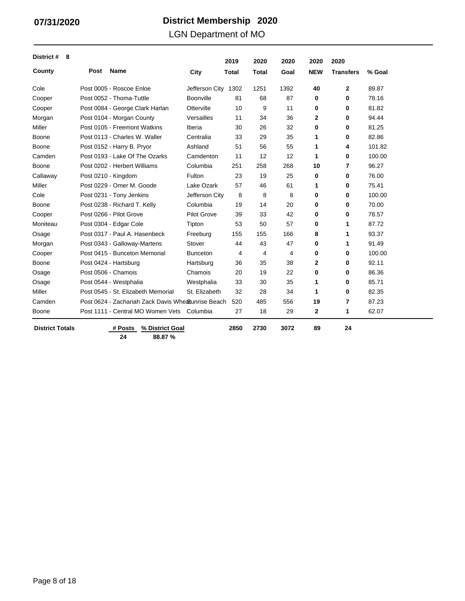### LGN Department of MO

| District #<br>8        |                     |                                                    |                    | 2019         | 2020         | 2020           | 2020         | 2020             |        |
|------------------------|---------------------|----------------------------------------------------|--------------------|--------------|--------------|----------------|--------------|------------------|--------|
| County                 | Post                | <b>Name</b>                                        | City               | <b>Total</b> | <b>Total</b> | Goal           | <b>NEW</b>   | <b>Transfers</b> | % Goal |
| Cole                   |                     | Post 0005 - Roscoe Enloe                           | Jefferson City     | 1302         | 1251         | 1392           | 40           | $\mathbf{2}$     | 89.87  |
| Cooper                 |                     | Post 0052 - Thoma-Tuttle                           | Boonville          | 81           | 68           | 87             | 0            | 0                | 78.16  |
| Cooper                 |                     | Post 0084 - George Clark Harlan                    | Otterville         | 10           | 9            | 11             | 0            | 0                | 81.82  |
| Morgan                 |                     | Post 0104 - Morgan County                          | Versailles         | 11           | 34           | 36             | 2            | 0                | 94.44  |
| Miller                 |                     | Post 0105 - Freemont Watkins                       | Iberia             | 30           | 26           | 32             | 0            | 0                | 81.25  |
| Boone                  |                     | Post 0113 - Charles W. Waller                      | Centralia          | 33           | 29           | 35             | 1            | 0                | 82.86  |
| Boone                  |                     | Post 0152 - Harry B. Pryor                         | Ashland            | 51           | 56           | 55             | 1            | 4                | 101.82 |
| Camden                 |                     | Post 0193 - Lake Of The Ozarks                     | Camdenton          | 11           | 12           | 12             | 1            | 0                | 100.00 |
| Boone                  |                     | Post 0202 - Herbert Williams                       | Columbia           | 251          | 258          | 268            | 10           | 7                | 96.27  |
| Callaway               | Post 0210 - Kingdom |                                                    | Fulton             | 23           | 19           | 25             | 0            | 0                | 76.00  |
| Miller                 |                     | Post 0229 - Omer M. Goode                          | Lake Ozark         | 57           | 46           | 61             | 1            | 0                | 75.41  |
| Cole                   |                     | Post 0231 - Tony Jenkins                           | Jefferson City     | 8            | 8            | 8              | 0            | 0                | 100.00 |
| Boone                  |                     | Post 0238 - Richard T. Kelly                       | Columbia           | 19           | 14           | 20             | 0            | 0                | 70.00  |
| Cooper                 |                     | Post 0266 - Pilot Grove                            | <b>Pilot Grove</b> | 39           | 33           | 42             | 0            | 0                | 78.57  |
| Moniteau               |                     | Post 0304 - Edgar Cole                             | Tipton             | 53           | 50           | 57             | 0            | 1                | 87.72  |
| Osage                  |                     | Post 0317 - Paul A. Hasenbeck                      | Freeburg           | 155          | 155          | 166            | 8            | 1                | 93.37  |
| Morgan                 |                     | Post 0343 - Galloway-Martens                       | Stover             | 44           | 43           | 47             | 0            | 1                | 91.49  |
| Cooper                 |                     | Post 0415 - Bunceton Memorial                      | <b>Bunceton</b>    | 4            | 4            | $\overline{4}$ | 0            | 0                | 100.00 |
| Boone                  |                     | Post 0424 - Hartsburg                              | Hartsburg          | 36           | 35           | 38             | 2            | 0                | 92.11  |
| Osage                  |                     | Post 0506 - Chamois                                | Chamois            | 20           | 19           | 22             | 0            | 0                | 86.36  |
| Osage                  |                     | Post 0544 - Westphalia                             | Westphalia         | 33           | 30           | 35             | 1            | 0                | 85.71  |
| Miller                 |                     | Post 0545 - St. Elizabeth Memorial                 | St. Elizabeth      | 32           | 28           | 34             | 1            | $\bf{0}$         | 82.35  |
| Camden                 |                     | Post 0624 - Zachariah Zack Davis Whe Sunrise Beach |                    | 520          | 485          | 556            | 19           | 7                | 87.23  |
| Boone                  |                     | Post 1111 - Central MO Women Vets Columbia         |                    | 27           | 18           | 29             | $\mathbf{2}$ | 1                | 62.07  |
| <b>District Totals</b> |                     | # Posts<br>% District Goal                         |                    | 2850         | 2730         | 3072           | 89           | 24               |        |

 $\overline{\phantom{0}}$ 

**24 88.87 %**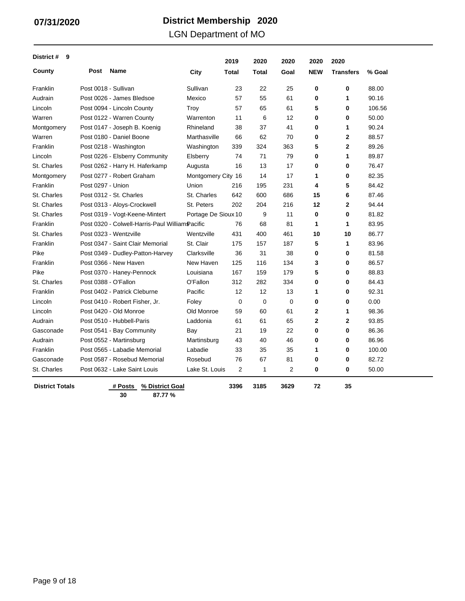LGN Department of MO

| District #<br>9        |                   |                                                 |                     | 2019           | 2020         | 2020 | 2020         | 2020             |        |
|------------------------|-------------------|-------------------------------------------------|---------------------|----------------|--------------|------|--------------|------------------|--------|
| County                 | <b>Post</b>       | Name                                            | City                | Total          | Total        | Goal | <b>NEW</b>   | <b>Transfers</b> | % Goal |
| Franklin               |                   | Post 0018 - Sullivan                            | Sullivan            | 23             | 22           | 25   | $\bf{0}$     | 0                | 88.00  |
| Audrain                |                   | Post 0026 - James Bledsoe                       | Mexico              | 57             | 55           | 61   | 0            | 1                | 90.16  |
| Lincoln                |                   | Post 0094 - Lincoln County                      | Troy                | 57             | 65           | 61   | 5            | 0                | 106.56 |
| Warren                 |                   | Post 0122 - Warren County                       | Warrenton           | 11             | 6            | 12   | $\bf{0}$     | 0                | 50.00  |
| Montgomery             |                   | Post 0147 - Joseph B. Koenig                    | Rhineland           | 38             | 37           | 41   | 0            | 1                | 90.24  |
| Warren                 |                   | Post 0180 - Daniel Boone                        | Marthasville        | 66             | 62           | 70   | $\mathbf 0$  | $\mathbf 2$      | 88.57  |
| Franklin               |                   | Post 0218 - Washington                          | Washington          | 339            | 324          | 363  | 5            | $\mathbf{2}$     | 89.26  |
| Lincoln                |                   | Post 0226 - Elsberry Community                  | Elsberry            | 74             | 71           | 79   | 0            | 1                | 89.87  |
| St. Charles            |                   | Post 0262 - Harry H. Haferkamp                  | Augusta             | 16             | 13           | 17   | 0            | 0                | 76.47  |
| Montgomery             |                   | Post 0277 - Robert Graham                       | Montgomery City 16  |                | 14           | 17   | 1            | $\mathbf 0$      | 82.35  |
| Franklin               | Post 0297 - Union |                                                 | Union               | 216            | 195          | 231  | 4            | 5                | 84.42  |
| St. Charles            |                   | Post 0312 - St. Charles                         | St. Charles         | 642            | 600          | 686  | 15           | 6                | 87.46  |
| St. Charles            |                   | Post 0313 - Aloys-Crockwell                     | St. Peters          | 202            | 204          | 216  | 12           | $\overline{2}$   | 94.44  |
| St. Charles            |                   | Post 0319 - Vogt-Keene-Mintert                  | Portage De Sioux 10 |                | 9            | 11   | 0            | 0                | 81.82  |
| Franklin               |                   | Post 0320 - Colwell-Harris-Paul William Pacific |                     | 76             | 68           | 81   | 1            | 1                | 83.95  |
| St. Charles            |                   | Post 0323 - Wentzville                          | Wentzville          | 431            | 400          | 461  | 10           | 10               | 86.77  |
| Franklin               |                   | Post 0347 - Saint Clair Memorial                | St. Clair           | 175            | 157          | 187  | 5            | 1                | 83.96  |
| Pike                   |                   | Post 0349 - Dudley-Patton-Harvey                | Clarksville         | 36             | 31           | 38   | $\bf{0}$     | $\mathbf 0$      | 81.58  |
| Franklin               |                   | Post 0366 - New Haven                           | New Haven           | 125            | 116          | 134  | 3            | $\bf{0}$         | 86.57  |
| Pike                   |                   | Post 0370 - Haney-Pennock                       | Louisiana           | 167            | 159          | 179  | 5            | 0                | 88.83  |
| St. Charles            |                   | Post 0388 - O'Fallon                            | O'Fallon            | 312            | 282          | 334  | $\mathbf 0$  | 0                | 84.43  |
| Franklin               |                   | Post 0402 - Patrick Cleburne                    | Pacific             | 12             | 12           | 13   | 1            | 0                | 92.31  |
| Lincoln                |                   | Post 0410 - Robert Fisher, Jr.                  | Foley               | 0              | $\mathbf 0$  | 0    | 0            | 0                | 0.00   |
| Lincoln                |                   | Post 0420 - Old Monroe                          | Old Monroe          | 59             | 60           | 61   | $\mathbf 2$  | 1                | 98.36  |
| Audrain                |                   | Post 0510 - Hubbell-Paris                       | Laddonia            | 61             | 61           | 65   | $\mathbf{2}$ | $\overline{2}$   | 93.85  |
| Gasconade              |                   | Post 0541 - Bay Community                       | Bay                 | 21             | 19           | 22   | 0            | 0                | 86.36  |
| Audrain                |                   | Post 0552 - Martinsburg                         | Martinsburg         | 43             | 40           | 46   | 0            | 0                | 86.96  |
| Franklin               |                   | Post 0565 - Labadie Memorial                    | Labadie             | 33             | 35           | 35   | 1            | 0                | 100.00 |
| Gasconade              |                   | Post 0587 - Rosebud Memorial                    | Rosebud             | 76             | 67           | 81   | 0            | 0                | 82.72  |
| St. Charles            |                   | Post 0632 - Lake Saint Louis                    | Lake St. Louis      | $\overline{2}$ | $\mathbf{1}$ | 2    | 0            | 0                | 50.00  |
| <b>District Totals</b> |                   | # Posts<br>% District Goal<br>30<br>87.77%      |                     | 3396           | 3185         | 3629 | 72           | 35               |        |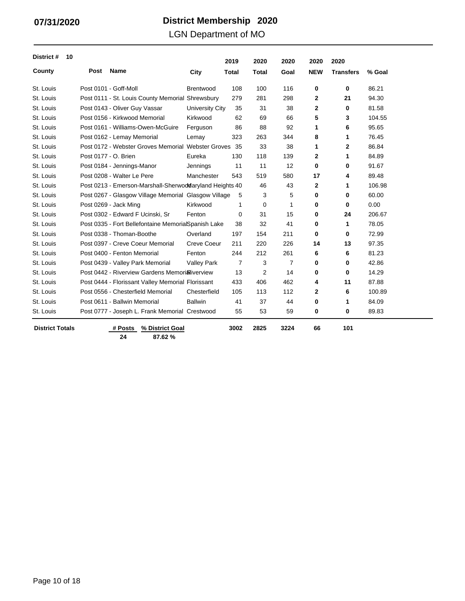### LGN Department of MO

| District #             | 10 |      |                                                         |                    | 2019  |                | 2020  | 2020           | 2020         | 2020             |        |
|------------------------|----|------|---------------------------------------------------------|--------------------|-------|----------------|-------|----------------|--------------|------------------|--------|
| County                 |    | Post | <b>Name</b>                                             | City               | Total |                | Total | Goal           | <b>NEW</b>   | <b>Transfers</b> | % Goal |
| St. Louis              |    |      | Post 0101 - Goff-Moll                                   | <b>Brentwood</b>   |       | 108            | 100   | 116            | 0            | 0                | 86.21  |
| St. Louis              |    |      | Post 0111 - St. Louis County Memorial Shrewsbury        |                    |       | 279            | 281   | 298            | 2            | 21               | 94.30  |
| St. Louis              |    |      | Post 0143 - Oliver Guy Vassar                           | University City    |       | 35             | 31    | 38             | $\mathbf{2}$ | 0                | 81.58  |
| St. Louis              |    |      | Post 0156 - Kirkwood Memorial                           | Kirkwood           |       | 62             | 69    | 66             | 5            | 3                | 104.55 |
| St. Louis              |    |      | Post 0161 - Williams-Owen-McGuire                       | Ferguson           |       | 86             | 88    | 92             | 1            | 6                | 95.65  |
| St. Louis              |    |      | Post 0162 - Lemay Memorial                              | Lemay              |       | 323            | 263   | 344            | 8            | 1                | 76.45  |
| St. Louis              |    |      | Post 0172 - Webster Groves Memorial Webster Groves 35   |                    |       |                | 33    | 38             | 1            | $\mathbf{2}$     | 86.84  |
| St. Louis              |    |      | Post 0177 - O. Brien                                    | Eureka             |       | 130            | 118   | 139            | $\mathbf{2}$ | $\mathbf 1$      | 84.89  |
| St. Louis              |    |      | Post 0184 - Jennings-Manor                              | Jennings           |       | 11             | 11    | 12             | $\bf{0}$     | 0                | 91.67  |
| St. Louis              |    |      | Post 0208 - Walter Le Pere                              | Manchester         |       | 543            | 519   | 580            | 17           | 4                | 89.48  |
| St. Louis              |    |      | Post 0213 - Emerson-Marshall-Sherwoddaryland Heights 40 |                    |       |                | 46    | 43             | $\mathbf{2}$ | 1                | 106.98 |
| St. Louis              |    |      | Post 0267 - Glasgow Village Memorial Glasgow Village    |                    |       | 5              | 3     | 5              | 0            | 0                | 60.00  |
| St. Louis              |    |      | Post 0269 - Jack Ming                                   | Kirkwood           |       | 1              | 0     | 1              | 0            | 0                | 0.00   |
| St. Louis              |    |      | Post 0302 - Edward F Ucinski, Sr                        | Fenton             |       | 0              | 31    | 15             | 0            | 24               | 206.67 |
| St. Louis              |    |      | Post 0335 - Fort Bellefontaine MemorialSpanish Lake     |                    |       | 38             | 32    | 41             | 0            | 1                | 78.05  |
| St. Louis              |    |      | Post 0338 - Thoman-Boothe                               | Overland           |       | 197            | 154   | 211            | 0            | 0                | 72.99  |
| St. Louis              |    |      | Post 0397 - Creve Coeur Memorial                        | <b>Creve Coeur</b> |       | 211            | 220   | 226            | 14           | 13               | 97.35  |
| St. Louis              |    |      | Post 0400 - Fenton Memorial                             | Fenton             |       | 244            | 212   | 261            | 6            | 6                | 81.23  |
| St. Louis              |    |      | Post 0439 - Valley Park Memorial                        | <b>Valley Park</b> |       | $\overline{7}$ | 3     | $\overline{7}$ | 0            | 0                | 42.86  |
| St. Louis              |    |      | Post 0442 - Riverview Gardens Memori Niverview          |                    |       | 13             | 2     | 14             | 0            | 0                | 14.29  |
| St. Louis              |    |      | Post 0444 - Florissant Valley Memorial Florissant       |                    |       | 433            | 406   | 462            | 4            | 11               | 87.88  |
| St. Louis              |    |      | Post 0556 - Chesterfield Memorial                       | Chesterfield       |       | 105            | 113   | 112            | $\mathbf{2}$ | 6                | 100.89 |
| St. Louis              |    |      | Post 0611 - Ballwin Memorial                            | <b>Ballwin</b>     |       | 41             | 37    | 44             | 0            | 1                | 84.09  |
| St. Louis              |    |      | Post 0777 - Joseph L. Frank Memorial Crestwood          |                    |       | 55             | 53    | 59             | 0            | 0                | 89.83  |
| <b>District Totals</b> |    |      | % District Goal<br># Posts<br>87.62%<br>24              |                    | 3002  |                | 2825  | 3224           | 66           | 101              |        |

L,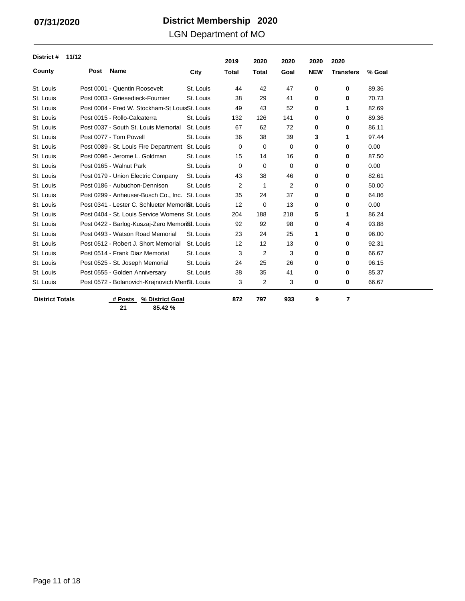LGN Department of MO

| District #             | 11/12 |                                                              |           | 2019         | 2020         | 2020 | 2020       | 2020             |        |
|------------------------|-------|--------------------------------------------------------------|-----------|--------------|--------------|------|------------|------------------|--------|
| County                 | Post  | <b>Name</b>                                                  | City      | <b>Total</b> | <b>Total</b> | Goal | <b>NEW</b> | <b>Transfers</b> | % Goal |
| St. Louis              |       | Post 0001 - Quentin Roosevelt                                | St. Louis | 44           | 42           | 47   | 0          | 0                | 89.36  |
| St. Louis              |       | Post 0003 - Griesedieck-Fournier                             | St. Louis | 38           | 29           | 41   | 0          | 0                | 70.73  |
| St. Louis              |       | Post 0004 - Fred W. Stockham-St LouisSt. Louis               |           | 49           | 43           | 52   | 0          | 1                | 82.69  |
| St. Louis              |       | Post 0015 - Rollo-Calcaterra                                 | St. Louis | 132          | 126          | 141  | 0          | 0                | 89.36  |
| St. Louis              |       | Post 0037 - South St. Louis Memorial                         | St. Louis | 67           | 62           | 72   | 0          | 0                | 86.11  |
| St. Louis              |       | Post 0077 - Tom Powell                                       | St. Louis | 36           | 38           | 39   | 3          | 1                | 97.44  |
| St. Louis              |       | Post 0089 - St. Louis Fire Department                        | St. Louis | 0            | 0            | 0    | 0          | 0                | 0.00   |
| St. Louis              |       | Post 0096 - Jerome L. Goldman                                | St. Louis | 15           | 14           | 16   | 0          | 0                | 87.50  |
| St. Louis              |       | Post 0165 - Walnut Park                                      | St. Louis | 0            | 0            | 0    | 0          | 0                | 0.00   |
| St. Louis              |       | Post 0179 - Union Electric Company                           | St. Louis | 43           | 38           | 46   | 0          | 0                | 82.61  |
| St. Louis              |       | Post 0186 - Aubuchon-Dennison                                | St. Louis | 2            | 1            | 2    | 0          | 0                | 50.00  |
| St. Louis              |       | Post 0299 - Anheuser-Busch Co., Inc. St. Louis               |           | 35           | 24           | 37   | 0          | 0                | 64.86  |
| St. Louis              |       | Post 0341 - Lester C. Schlueter Memori <sup>St</sup> . Louis |           | 12           | 0            | 13   | 0          | 0                | 0.00   |
| St. Louis              |       | Post 0404 - St. Louis Service Womens St. Louis               |           | 204          | 188          | 218  | 5          | 1                | 86.24  |
| St. Louis              |       | Post 0422 - Barlog-Kuszaj-Zero Memori <sup>8</sup> t. Louis  |           | 92           | 92           | 98   | 0          | 4                | 93.88  |
| St. Louis              |       | Post 0493 - Watson Road Memorial                             | St. Louis | 23           | 24           | 25   | 1          | 0                | 96.00  |
| St. Louis              |       | Post 0512 - Robert J. Short Memorial                         | St. Louis | 12           | 12           | 13   | 0          | 0                | 92.31  |
| St. Louis              |       | Post 0514 - Frank Diaz Memorial                              | St. Louis | 3            | 2            | 3    | 0          | 0                | 66.67  |
| St. Louis              |       | Post 0525 - St. Joseph Memorial                              | St. Louis | 24           | 25           | 26   | 0          | 0                | 96.15  |
| St. Louis              |       | Post 0555 - Golden Anniversary                               | St. Louis | 38           | 35           | 41   | 0          | 0                | 85.37  |
| St. Louis              |       | Post 0572 - Bolanovich-Krajnovich Mem <sup>g</sup> t. Louis  |           | 3            | 2            | 3    | 0          | 0                | 66.67  |
| <b>District Totals</b> |       | % District Goal<br># Posts                                   |           | 872          | 797          | 933  | 9          | 7                |        |

**21 85.42 %**

Page 11 of 18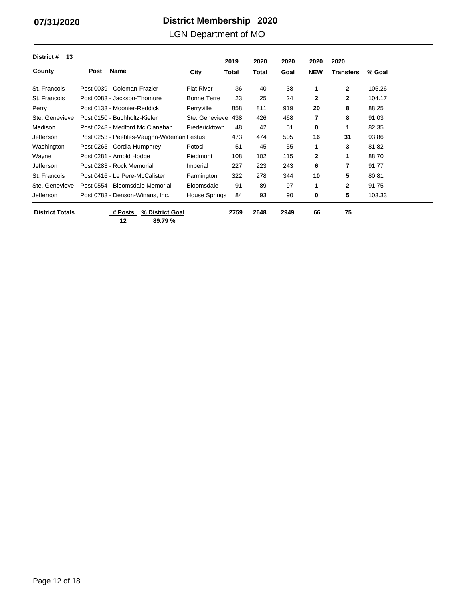### LGN Department of MO

| District #<br>13       |                                           |                      | 2019  | 2020  | 2020 | 2020         | 2020             |        |
|------------------------|-------------------------------------------|----------------------|-------|-------|------|--------------|------------------|--------|
| County                 | Name<br><b>Post</b>                       | City                 | Total | Total | Goal | <b>NEW</b>   | <b>Transfers</b> | % Goal |
| St. Francois           | Post 0039 - Coleman-Frazier               | <b>Flat River</b>    | 36    | 40    | 38   | 1            | $\mathbf{2}$     | 105.26 |
| St. Francois           | Post 0083 - Jackson-Thomure               | <b>Bonne Terre</b>   | 23    | 25    | 24   | $\mathbf{2}$ | $\mathbf{2}$     | 104.17 |
| Perry                  | Post 0133 - Moonier-Reddick               | Perryville           | 858   | 811   | 919  | 20           | 8                | 88.25  |
| Ste. Genevieve         | Post 0150 - Buchholtz-Kiefer              | Ste. Genevieve       | 438   | 426   | 468  | 7            | 8                | 91.03  |
| Madison                | Post 0248 - Medford Mc Clanahan           | Fredericktown        | 48    | 42    | 51   | 0            | 1                | 82.35  |
| Jefferson              | Post 0253 - Peebles-Vaughn-Wideman Festus |                      | 473   | 474   | 505  | 16           | 31               | 93.86  |
| Washington             | Post 0265 - Cordia-Humphrey               | Potosi               | 51    | 45    | 55   | 1            | 3                | 81.82  |
| Wayne                  | Post 0281 - Arnold Hodge                  | Piedmont             | 108   | 102   | 115  | 2            | 1                | 88.70  |
| <b>Jefferson</b>       | Post 0283 - Rock Memorial                 | Imperial             | 227   | 223   | 243  | 6            | 7                | 91.77  |
| St. Francois           | Post 0416 - Le Pere-McCalister            | Farmington           | 322   | 278   | 344  | 10           | 5                | 80.81  |
| Ste. Genevieve         | Post 0554 - Bloomsdale Memorial           | <b>Bloomsdale</b>    | 91    | 89    | 97   | 1            | $\mathbf{2}$     | 91.75  |
| Jefferson              | Post 0783 - Denson-Winans, Inc.           | <b>House Springs</b> | 84    | 93    | 90   | 0            | 5                | 103.33 |
| <b>District Totals</b> | % District Goal<br># Posts                |                      | 2759  | 2648  | 2949 | 66           | 75               |        |

 $\overline{\phantom{a}}$ 

**12 89.79 %**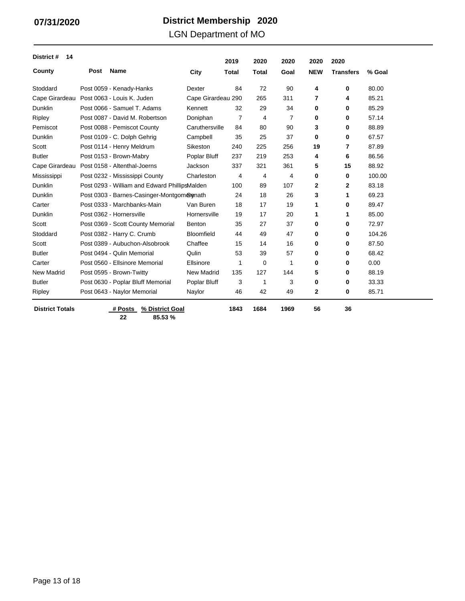### LGN Department of MO

| District #<br>14       |      |                                               |                    | 2019         | 2020           | 2020           | 2020       | 2020             |        |
|------------------------|------|-----------------------------------------------|--------------------|--------------|----------------|----------------|------------|------------------|--------|
| County                 | Post | Name                                          | City               | <b>Total</b> | <b>Total</b>   | Goal           | <b>NEW</b> | <b>Transfers</b> | % Goal |
| Stoddard               |      | Post 0059 - Kenady-Hanks                      | Dexter             | 84           | 72             | 90             | 4          | 0                | 80.00  |
| Cape Girardeau         |      | Post 0063 - Louis K. Juden                    | Cape Girardeau 290 |              | 265            | 311            | 7          | 4                | 85.21  |
| <b>Dunklin</b>         |      | Post 0066 - Samuel T. Adams                   | Kennett            | 32           | 29             | 34             | 0          | 0                | 85.29  |
| Ripley                 |      | Post 0087 - David M. Robertson                | Doniphan           | 7            | 4              | $\overline{7}$ | 0          | 0                | 57.14  |
| Pemiscot               |      | Post 0088 - Pemiscot County                   | Caruthersville     | 84           | 80             | 90             | 3          | 0                | 88.89  |
| <b>Dunklin</b>         |      | Post 0109 - C. Dolph Gehrig                   | Campbell           | 35           | 25             | 37             | 0          | 0                | 67.57  |
| Scott                  |      | Post 0114 - Henry Meldrum                     | Sikeston           | 240          | 225            | 256            | 19         | 7                | 87.89  |
| <b>Butler</b>          |      | Post 0153 - Brown-Mabry                       | Poplar Bluff       | 237          | 219            | 253            | 4          | 6                | 86.56  |
| Cape Girardeau         |      | Post 0158 - Altenthal-Joerns                  | Jackson            | 337          | 321            | 361            | 5          | 15               | 88.92  |
| Mississippi            |      | Post 0232 - Mississippi County                | Charleston         | 4            | $\overline{4}$ | 4              | 0          | 0                | 100.00 |
| <b>Dunklin</b>         |      | Post 0293 - William and Edward PhillipsMalden |                    | 100          | 89             | 107            | 2          | 2                | 83.18  |
| <b>Dunklin</b>         |      | Post 0303 - Barnes-Casinger-Montgomerenath    |                    | 24           | 18             | 26             | 3          | 1                | 69.23  |
| Carter                 |      | Post 0333 - Marchbanks-Main                   | Van Buren          | 18           | 17             | 19             | 1          | 0                | 89.47  |
| <b>Dunklin</b>         |      | Post 0362 - Hornersville                      | Hornersville       | 19           | 17             | 20             | 1          | 1                | 85.00  |
| Scott                  |      | Post 0369 - Scott County Memorial             | Benton             | 35           | 27             | 37             | 0          | 0                | 72.97  |
| Stoddard               |      | Post 0382 - Harry C. Crumb                    | Bloomfield         | 44           | 49             | 47             | 0          | 0                | 104.26 |
| Scott                  |      | Post 0389 - Aubuchon-Alsobrook                | Chaffee            | 15           | 14             | 16             | 0          | 0                | 87.50  |
| <b>Butler</b>          |      | Post 0494 - Qulin Memorial                    | Qulin              | 53           | 39             | 57             | 0          | 0                | 68.42  |
| Carter                 |      | Post 0560 - Ellsinore Memorial                | Ellsinore          | 1            | $\mathbf 0$    | $\mathbf{1}$   | 0          | 0                | 0.00   |
| <b>New Madrid</b>      |      | Post 0595 - Brown-Twitty                      | New Madrid         | 135          | 127            | 144            | 5          | 0                | 88.19  |
| <b>Butler</b>          |      | Post 0630 - Poplar Bluff Memorial             | Poplar Bluff       | 3            | 1              | 3              | 0          | 0                | 33.33  |
| Ripley                 |      | Post 0643 - Naylor Memorial                   | Naylor             | 46           | 42             | 49             | 2          | 0                | 85.71  |
| <b>District Totals</b> |      | # Posts<br>% District Goal                    |                    | 1843         | 1684           | 1969           | 56         | 36               |        |

**22 85.53 %**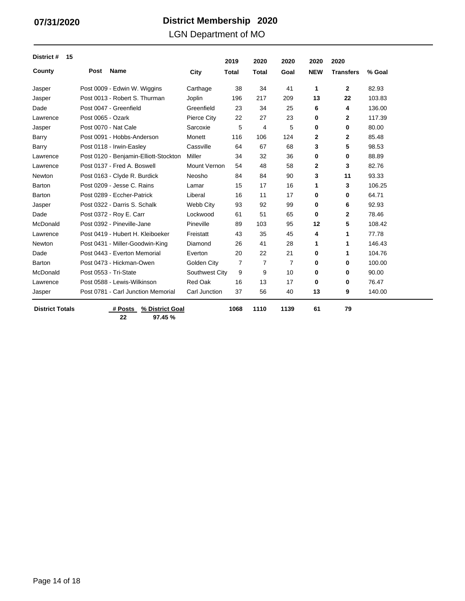### LGN Department of MO

| District #<br>15       |                   |                                       |                     | 2019           | 2020         | 2020 | 2020         | 2020             |        |
|------------------------|-------------------|---------------------------------------|---------------------|----------------|--------------|------|--------------|------------------|--------|
| County                 | Post              | <b>Name</b>                           | City                | <b>Total</b>   | <b>Total</b> | Goal | <b>NEW</b>   | <b>Transfers</b> | % Goal |
| Jasper                 |                   | Post 0009 - Edwin W. Wiggins          | Carthage            | 38             | 34           | 41   | 1            | $\mathbf{2}$     | 82.93  |
| Jasper                 |                   | Post 0013 - Robert S. Thurman         | Joplin              | 196            | 217          | 209  | 13           | 22               | 103.83 |
| Dade                   |                   | Post 0047 - Greenfield                | Greenfield          | 23             | 34           | 25   | 6            | 4                | 136.00 |
| Lawrence               | Post 0065 - Ozark |                                       | Pierce City         | 22             | 27           | 23   | 0            | $\mathbf{2}$     | 117.39 |
| Jasper                 |                   | Post 0070 - Nat Cale                  | Sarcoxie            | 5              | 4            | 5    | 0            | 0                | 80.00  |
| Barry                  |                   | Post 0091 - Hobbs-Anderson            | Monett              | 116            | 106          | 124  | $\mathbf{2}$ | $\mathbf{2}$     | 85.48  |
| Barry                  |                   | Post 0118 - Irwin-Easley              | Cassville           | 64             | 67           | 68   | 3            | 5                | 98.53  |
| Lawrence               |                   | Post 0120 - Benjamin-Elliott-Stockton | Miller              | 34             | 32           | 36   | 0            | 0                | 88.89  |
| Lawrence               |                   | Post 0137 - Fred A. Boswell           | <b>Mount Vernon</b> | 54             | 48           | 58   | $\mathbf{2}$ | 3                | 82.76  |
| Newton                 |                   | Post 0163 - Clyde R. Burdick          | Neosho              | 84             | 84           | 90   | 3            | 11               | 93.33  |
| Barton                 |                   | Post 0209 - Jesse C. Rains            | Lamar               | 15             | 17           | 16   | 1            | 3                | 106.25 |
| Barton                 |                   | Post 0289 - Eccher-Patrick            | Liberal             | 16             | 11           | 17   | 0            | 0                | 64.71  |
| Jasper                 |                   | Post 0322 - Darris S. Schalk          | Webb City           | 93             | 92           | 99   | 0            | 6                | 92.93  |
| Dade                   |                   | Post 0372 - Roy E. Carr               | Lockwood            | 61             | 51           | 65   | 0            | $\mathbf{2}$     | 78.46  |
| McDonald               |                   | Post 0392 - Pineville-Jane            | Pineville           | 89             | 103          | 95   | 12           | 5                | 108.42 |
| Lawrence               |                   | Post 0419 - Hubert H. Kleiboeker      | Freistatt           | 43             | 35           | 45   | 4            | 1                | 77.78  |
| Newton                 |                   | Post 0431 - Miller-Goodwin-King       | Diamond             | 26             | 41           | 28   | 1            | 1                | 146.43 |
| Dade                   |                   | Post 0443 - Everton Memorial          | Everton             | 20             | 22           | 21   | 0            | 1                | 104.76 |
| Barton                 |                   | Post 0473 - Hickman-Owen              | Golden City         | $\overline{7}$ | 7            | 7    | 0            | 0                | 100.00 |
| McDonald               |                   | Post 0553 - Tri-State                 | Southwest City      | 9              | 9            | 10   | 0            | 0                | 90.00  |
| Lawrence               |                   | Post 0588 - Lewis-Wilkinson           | <b>Red Oak</b>      | 16             | 13           | 17   | 0            | 0                | 76.47  |
| Jasper                 |                   | Post 0781 - Carl Junction Memorial    | Carl Junction       | 37             | 56           | 40   | 13           | 9                | 140.00 |
| <b>District Totals</b> |                   | % District Goal<br># Posts            |                     | 1068           | 1110         | 1139 | 61           | 79               |        |

**22 97.45 %**

Page 14 of 18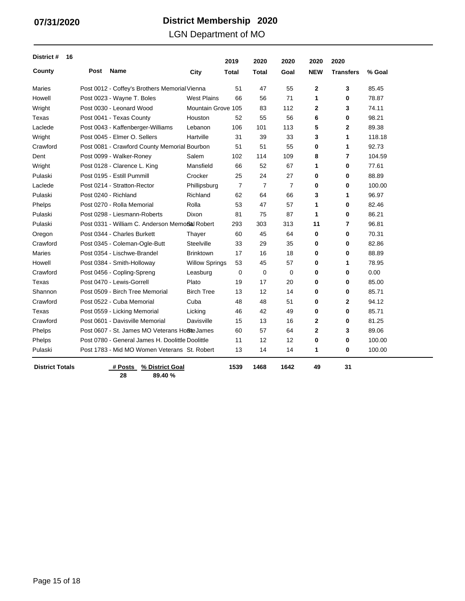### LGN Department of MO

| District #<br>16       |      |                                                  |                       | 2019           | 2020           | 2020           | 2020        | 2020             |        |
|------------------------|------|--------------------------------------------------|-----------------------|----------------|----------------|----------------|-------------|------------------|--------|
| County                 | Post | <b>Name</b>                                      | City                  | <b>Total</b>   | <b>Total</b>   | Goal           | <b>NEW</b>  | <b>Transfers</b> | % Goal |
| Maries                 |      | Post 0012 - Coffey's Brothers Memorial Vienna    |                       | 51             | 47             | 55             | 2           | 3                | 85.45  |
| Howell                 |      | Post 0023 - Wayne T. Boles                       | <b>West Plains</b>    | 66             | 56             | 71             | 1           | 0                | 78.87  |
| Wright                 |      | Post 0030 - Leonard Wood                         | Mountain Grove 105    |                | 83             | 112            | 2           | 3                | 74.11  |
| Texas                  |      | Post 0041 - Texas County                         | Houston               | 52             | 55             | 56             | 6           | 0                | 98.21  |
| Laclede                |      | Post 0043 - Kaffenberger-Williams                | Lebanon               | 106            | 101            | 113            | 5           | $\mathbf{2}$     | 89.38  |
| Wright                 |      | Post 0045 - Elmer O. Sellers                     | Hartville             | 31             | 39             | 33             | 3           | 1                | 118.18 |
| Crawford               |      | Post 0081 - Crawford County Memorial Bourbon     |                       | 51             | 51             | 55             | 0           | 1                | 92.73  |
| Dent                   |      | Post 0099 - Walker-Roney                         | Salem                 | 102            | 114            | 109            | 8           | 7                | 104.59 |
| Wright                 |      | Post 0128 - Clarence L. King                     | Mansfield             | 66             | 52             | 67             | 1           | 0                | 77.61  |
| Pulaski                |      | Post 0195 - Estill Pummill                       | Crocker               | 25             | 24             | 27             | 0           | 0                | 88.89  |
| Laclede                |      | Post 0214 - Stratton-Rector                      | Phillipsburg          | $\overline{7}$ | $\overline{7}$ | $\overline{7}$ | 0           | 0                | 100.00 |
| Pulaski                |      | Post 0240 - Richland                             | Richland              | 62             | 64             | 66             | 3           | 1                | 96.97  |
| Phelps                 |      | Post 0270 - Rolla Memorial                       | Rolla                 | 53             | 47             | 57             | 1           | 0                | 82.46  |
| Pulaski                |      | Post 0298 - Liesmann-Roberts                     | Dixon                 | 81             | 75             | 87             | 1           | 0                | 86.21  |
| Pulaski                |      | Post 0331 - William C. Anderson Memoßal Robert   |                       | 293            | 303            | 313            | 11          | 7                | 96.81  |
| Oregon                 |      | Post 0344 - Charles Burkett                      | Thayer                | 60             | 45             | 64             | 0           | 0                | 70.31  |
| Crawford               |      | Post 0345 - Coleman-Ogle-Butt                    | Steelville            | 33             | 29             | 35             | 0           | 0                | 82.86  |
| <b>Maries</b>          |      | Post 0354 - Lischwe-Brandel                      | <b>Brinktown</b>      | 17             | 16             | 18             | 0           | 0                | 88.89  |
| Howell                 |      | Post 0384 - Smith-Holloway                       | <b>Willow Springs</b> | 53             | 45             | 57             | 0           | 1                | 78.95  |
| Crawford               |      | Post 0456 - Copling-Spreng                       | Leasburg              | 0              | 0              | 0              | 0           | 0                | 0.00   |
| Texas                  |      | Post 0470 - Lewis-Gorrell                        | Plato                 | 19             | 17             | 20             | 0           | 0                | 85.00  |
| Shannon                |      | Post 0509 - Birch Tree Memorial                  | <b>Birch Tree</b>     | 13             | 12             | 14             | 0           | 0                | 85.71  |
| Crawford               |      | Post 0522 - Cuba Memorial                        | Cuba                  | 48             | 48             | 51             | 0           | $\mathbf{2}$     | 94.12  |
| Texas                  |      | Post 0559 - Licking Memorial                     | Licking               | 46             | 42             | 49             | 0           | 0                | 85.71  |
| Crawford               |      | Post 0601 - Davisville Memorial                  | Davisville            | 15             | 13             | 16             | 2           | 0                | 81.25  |
| Phelps                 |      | Post 0607 - St. James MO Veterans HoBte James    |                       | 60             | 57             | 64             | $\mathbf 2$ | 3                | 89.06  |
| Phelps                 |      | Post 0780 - General James H. Doolittle Doolittle |                       | 11             | 12             | 12             | 0           | 0                | 100.00 |
| Pulaski                |      | Post 1783 - Mid MO Women Veterans St. Robert     |                       | 13             | 14             | 14             | 1           | 0                | 100.00 |
| <b>District Totals</b> |      | # Posts<br>% District Goal                       |                       | 1539           | 1468           | 1642           | 49          | 31               |        |

**28**

**89.40 %**

Page 15 of 18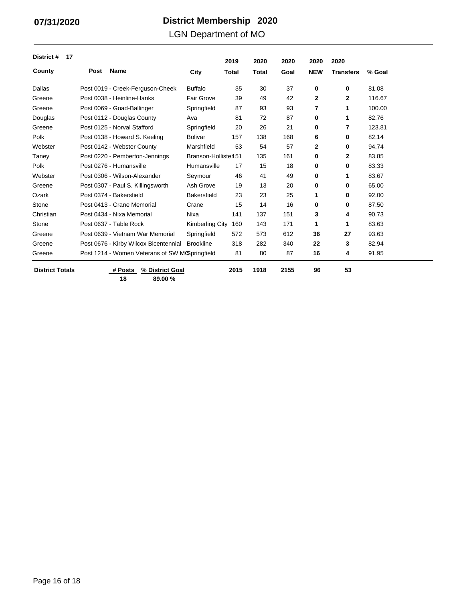### LGN Department of MO

| District #<br>17       |      |                                                |                        | 2019  | 2020         | 2020 | 2020        | 2020             |        |
|------------------------|------|------------------------------------------------|------------------------|-------|--------------|------|-------------|------------------|--------|
| County                 | Post | Name                                           | City                   | Total | <b>Total</b> | Goal | <b>NEW</b>  | <b>Transfers</b> | % Goal |
| Dallas                 |      | Post 0019 - Creek-Ferguson-Cheek               | <b>Buffalo</b>         | 35    | 30           | 37   | 0           | 0                | 81.08  |
| Greene                 |      | Post 0038 - Heinline-Hanks                     | <b>Fair Grove</b>      | 39    | 49           | 42   | $\mathbf 2$ | $\mathbf{2}$     | 116.67 |
| Greene                 |      | Post 0069 - Goad-Ballinger                     | Springfield            | 87    | 93           | 93   | 7           | 1                | 100.00 |
| Douglas                |      | Post 0112 - Douglas County                     | Ava                    | 81    | 72           | 87   | 0           | 1                | 82.76  |
| Greene                 |      | Post 0125 - Norval Stafford                    | Springfield            | 20    | 26           | 21   | 0           | 7                | 123.81 |
| Polk                   |      | Post 0138 - Howard S. Keeling                  | <b>Bolivar</b>         | 157   | 138          | 168  | 6           | 0                | 82.14  |
| Webster                |      | Post 0142 - Webster County                     | Marshfield             | 53    | 54           | 57   | 2           | $\bf{0}$         | 94.74  |
| Taney                  |      | Post 0220 - Pemberton-Jennings                 | Branson-Hollisten 51   |       | 135          | 161  | 0           | 2                | 83.85  |
| Polk                   |      | Post 0276 - Humansville                        | Humansville            | 17    | 15           | 18   | 0           | $\bf{0}$         | 83.33  |
| Webster                |      | Post 0306 - Wilson-Alexander                   | Seymour                | 46    | 41           | 49   | 0           | 1                | 83.67  |
| Greene                 |      | Post 0307 - Paul S. Killingsworth              | Ash Grove              | 19    | 13           | 20   | 0           | $\bf{0}$         | 65.00  |
| Ozark                  |      | Post 0374 - Bakersfield                        | <b>Bakersfield</b>     | 23    | 23           | 25   | 1           | 0                | 92.00  |
| Stone                  |      | Post 0413 - Crane Memorial                     | Crane                  | 15    | 14           | 16   | 0           | 0                | 87.50  |
| Christian              |      | Post 0434 - Nixa Memorial                      | Nixa                   | 141   | 137          | 151  | 3           | 4                | 90.73  |
| Stone                  |      | Post 0637 - Table Rock                         | <b>Kimberling City</b> | 160   | 143          | 171  | 1           | 1                | 83.63  |
| Greene                 |      | Post 0639 - Vietnam War Memorial               | Springfield            | 572   | 573          | 612  | 36          | 27               | 93.63  |
| Greene                 |      | Post 0676 - Kirby Wilcox Bicentennial          | <b>Brookline</b>       | 318   | 282          | 340  | 22          | 3                | 82.94  |
| Greene                 |      | Post 1214 - Women Veterans of SW MCSpringfield |                        | 81    | 80           | 87   | 16          | 4                | 91.95  |
| <b>District Totals</b> |      | # Posts<br>% District Goal<br>18<br>89.00 %    |                        | 2015  | 1918         | 2155 | 96          | 53               |        |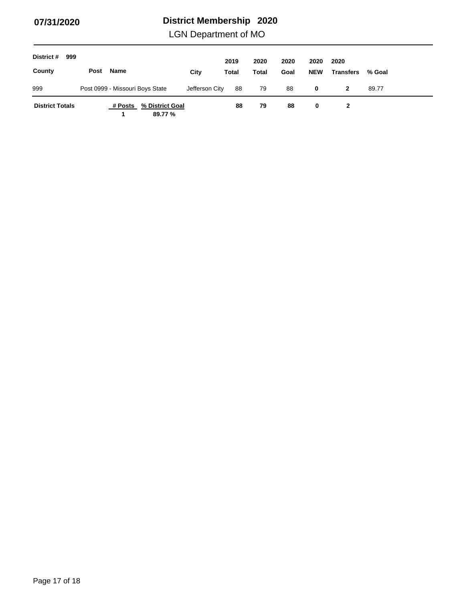LGN Department of MO

| District #<br>999      |      |                                 |                            |                | 2019  | 2020  | 2020 | 2020       | 2020             |        |
|------------------------|------|---------------------------------|----------------------------|----------------|-------|-------|------|------------|------------------|--------|
| County                 | Post | Name                            |                            | City           | Total | Total | Goal | <b>NEW</b> | <b>Transfers</b> | % Goal |
| 999                    |      | Post 0999 - Missouri Boys State |                            | Jefferson City | 88    | 79    | 88   | 0          | 2                | 89.77  |
| <b>District Totals</b> |      | # Posts                         | % District Goal<br>89.77 % |                | 88    | 79    | 88   | 0          | 2                |        |